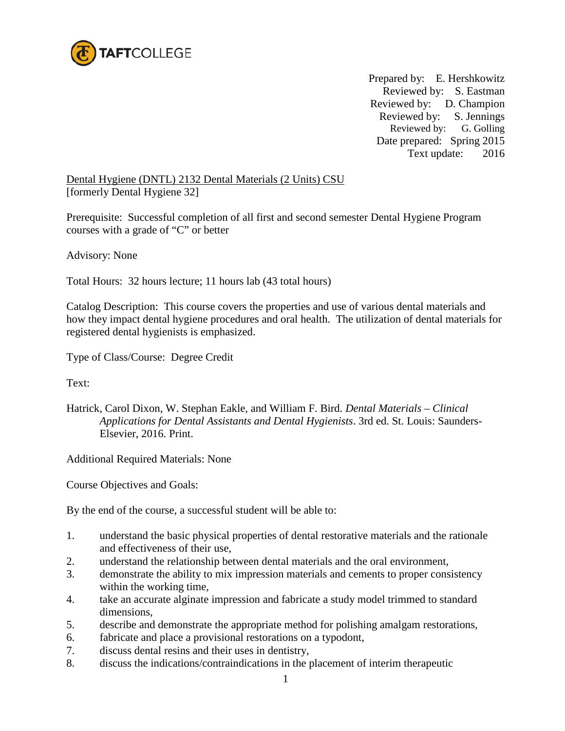

 Prepared by: E. Hershkowitz Reviewed by: S. Eastman Reviewed by: D. Champion Reviewed by: S. Jennings Reviewed by: G. Golling Date prepared: Spring 2015 Text update: 2016

Dental Hygiene (DNTL) 2132 Dental Materials (2 Units) CSU [formerly Dental Hygiene 32]

Prerequisite: Successful completion of all first and second semester Dental Hygiene Program courses with a grade of "C" or better

Advisory: None

Total Hours: 32 hours lecture; 11 hours lab (43 total hours)

Catalog Description: This course covers the properties and use of various dental materials and how they impact dental hygiene procedures and oral health. The utilization of dental materials for registered dental hygienists is emphasized.

Type of Class/Course: Degree Credit

Text:

Hatrick, Carol Dixon, W. Stephan Eakle, and William F. Bird. *Dental Materials – Clinical Applications for Dental Assistants and Dental Hygienists*. 3rd ed. St. Louis: Saunders-Elsevier, 2016. Print.

Additional Required Materials: None

Course Objectives and Goals:

By the end of the course, a successful student will be able to:

- 1. understand the basic physical properties of dental restorative materials and the rationale and effectiveness of their use,
- 2. understand the relationship between dental materials and the oral environment,
- 3. demonstrate the ability to mix impression materials and cements to proper consistency within the working time,
- 4. take an accurate alginate impression and fabricate a study model trimmed to standard dimensions,
- 5. describe and demonstrate the appropriate method for polishing amalgam restorations,
- 6. fabricate and place a provisional restorations on a typodont,
- 7. discuss dental resins and their uses in dentistry,
- 8. discuss the indications/contraindications in the placement of interim therapeutic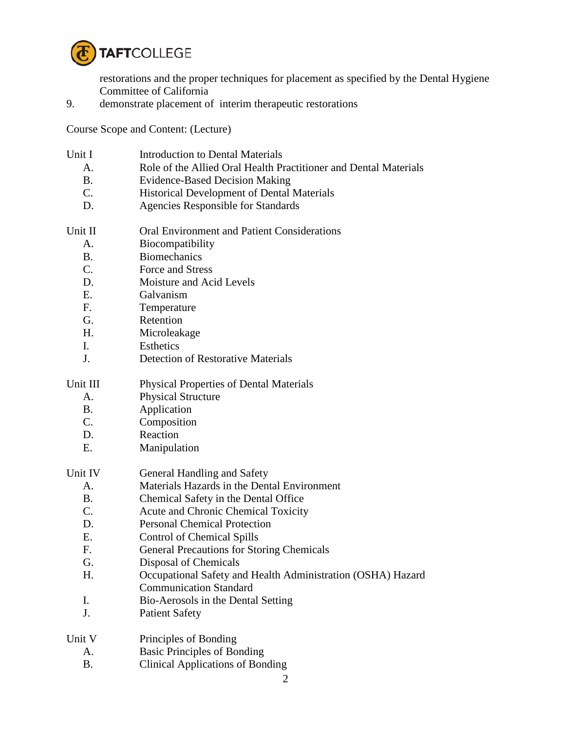

restorations and the proper techniques for placement as specified by the Dental Hygiene Committee of California

9. demonstrate placement of interim therapeutic restorations

Course Scope and Content: (Lecture)

- Unit I Introduction to Dental Materials
	- A. Role of the Allied Oral Health Practitioner and Dental Materials
	- B. Evidence-Based Decision Making
	- C. Historical Development of Dental Materials
	- D. Agencies Responsible for Standards
- Unit II **Oral Environment and Patient Considerations** 
	- A. Biocompatibility
	- B. Biomechanics
	- C. Force and Stress
	- D. Moisture and Acid Levels
	- E. Galvanism
	- F. Temperature
	- G. Retention
	- H. Microleakage
	- I. Esthetics
	- J. Detection of Restorative Materials
- Unit III Physical Properties of Dental Materials
	- A. Physical Structure
	- B. Application
	- C. Composition
	- D. Reaction
	- E. Manipulation
- Unit IV General Handling and Safety
	- A. Materials Hazards in the Dental Environment
	- B. Chemical Safety in the Dental Office
	- C. Acute and Chronic Chemical Toxicity
	- D. Personal Chemical Protection
	- E. Control of Chemical Spills
	- F. General Precautions for Storing Chemicals
	- G. Disposal of Chemicals
	- H. Occupational Safety and Health Administration (OSHA) Hazard Communication Standard
	- I. Bio-Aerosols in the Dental Setting
	- J. Patient Safety

| Unit V | Principles of Bonding |  |
|--------|-----------------------|--|
|        |                       |  |

- A. Basic Principles of Bonding
- B. Clinical Applications of Bonding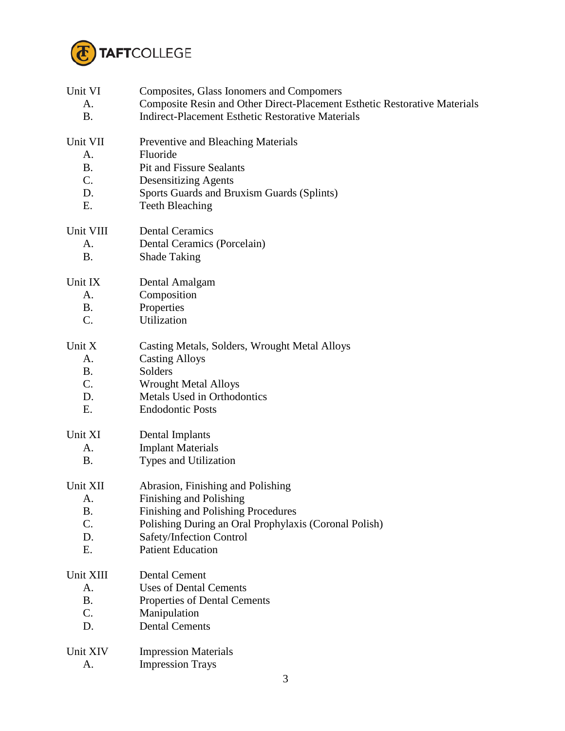

| Unit VI   | Composites, Glass Ionomers and Compomers                                  |
|-----------|---------------------------------------------------------------------------|
| A.        | Composite Resin and Other Direct-Placement Esthetic Restorative Materials |
| <b>B.</b> | <b>Indirect-Placement Esthetic Restorative Materials</b>                  |
| Unit VII  | Preventive and Bleaching Materials                                        |
| A.        | Fluoride                                                                  |
| <b>B.</b> | <b>Pit and Fissure Sealants</b>                                           |
| C.        | <b>Desensitizing Agents</b>                                               |
| D.        | Sports Guards and Bruxism Guards (Splints)                                |
| Ε.        | <b>Teeth Bleaching</b>                                                    |
| Unit VIII | <b>Dental Ceramics</b>                                                    |
| A.        | Dental Ceramics (Porcelain)                                               |
| <b>B.</b> | <b>Shade Taking</b>                                                       |
| Unit IX   | Dental Amalgam                                                            |
| A.        | Composition                                                               |
| B.        | Properties                                                                |
| $C$ .     | Utilization                                                               |
| Unit X    | Casting Metals, Solders, Wrought Metal Alloys                             |
| A.        | <b>Casting Alloys</b>                                                     |
| Β.        | Solders                                                                   |
| C.        | <b>Wrought Metal Alloys</b>                                               |
| D.        | Metals Used in Orthodontics                                               |
| Ε.        | <b>Endodontic Posts</b>                                                   |
| Unit XI   | Dental Implants                                                           |
| A.        | <b>Implant Materials</b>                                                  |
| B.        | Types and Utilization                                                     |
| Unit XII  | Abrasion, Finishing and Polishing                                         |
| A.        | Finishing and Polishing                                                   |
| <b>B.</b> | Finishing and Polishing Procedures                                        |
| C.        | Polishing During an Oral Prophylaxis (Coronal Polish)                     |
| D.        | Safety/Infection Control                                                  |
| Ε.        | <b>Patient Education</b>                                                  |
| Unit XIII | <b>Dental Cement</b>                                                      |
| A.        | <b>Uses of Dental Cements</b>                                             |
| <b>B.</b> | Properties of Dental Cements                                              |
| C.        | Manipulation                                                              |
| D.        | <b>Dental Cements</b>                                                     |
| Unit XIV  | <b>Impression Materials</b>                                               |
| A.        | <b>Impression Trays</b>                                                   |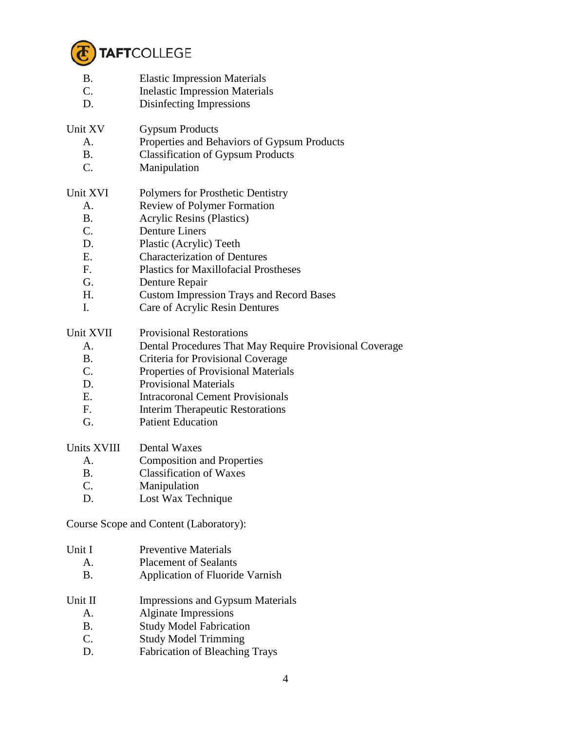

- B. Elastic Impression Materials
- C. Inelastic Impression Materials
- D. Disinfecting Impressions
- Unit XV Gypsum Products
	- A. Properties and Behaviors of Gypsum Products
	- B. Classification of Gypsum Products
	- C. Manipulation

## Unit XVI Polymers for Prosthetic Dentistry

- A. Review of Polymer Formation
- B. Acrylic Resins (Plastics)
- C. Denture Liners
- D. Plastic (Acrylic) Teeth
- E. Characterization of Dentures
- F. Plastics for Maxillofacial Prostheses
- G. Denture Repair
- H. Custom Impression Trays and Record Bases
- I. Care of Acrylic Resin Dentures

Unit XVII Provisional Restorations

- A. Dental Procedures That May Require Provisional Coverage
- B. Criteria for Provisional Coverage
- C. Properties of Provisional Materials
- D. Provisional Materials
- E. Intracoronal Cement Provisionals
- F. Interim Therapeutic Restorations
- G. Patient Education

## Units XVIII Dental Waxes

- A. Composition and Properties
- B. Classification of Waxes
- C. Manipulation
- D. Lost Wax Technique

Course Scope and Content (Laboratory):

| Unit I<br>Α.<br>В. | <b>Preventive Materials</b><br><b>Placement of Sealants</b><br>Application of Fluoride Varnish |
|--------------------|------------------------------------------------------------------------------------------------|
| Unit II            | Impressions and Gypsum Materials                                                               |
| A.                 | Alginate Impressions                                                                           |
| В.                 | <b>Study Model Fabrication</b>                                                                 |
|                    | ___________                                                                                    |

- C. Study Model Trimming
- D. Fabrication of Bleaching Trays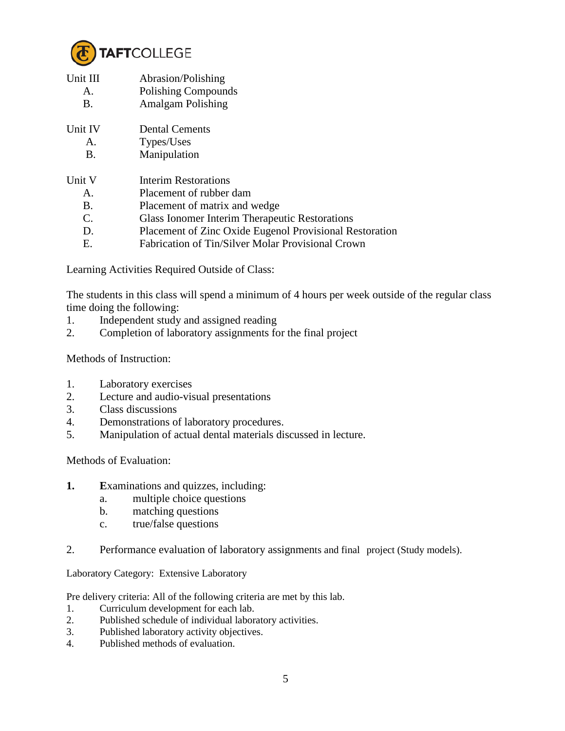

| Unit III<br>A.<br>$\mathbf{B}$ . | Abrasion/Polishing<br>Polishing Compounds<br><b>Amalgam Polishing</b> |
|----------------------------------|-----------------------------------------------------------------------|
| Unit IV                          | <b>Dental Cements</b>                                                 |
| A.                               | Types/Uses                                                            |
| B.                               | Manipulation                                                          |
| Unit V                           | Interim Restorations                                                  |
| $\mathsf{A}$ .                   | Placement of rubber dam                                               |
| B.                               | Placement of matrix and wedge                                         |
| C.                               | <b>Glass Ionomer Interim Therapeutic Restorations</b>                 |
| D.                               | Placement of Zinc Oxide Eugenol Provisional Restoration               |
| Е.                               | Fabrication of Tin/Silver Molar Provisional Crown                     |

Learning Activities Required Outside of Class:

The students in this class will spend a minimum of 4 hours per week outside of the regular class time doing the following:

- 1. Independent study and assigned reading
- 2. Completion of laboratory assignments for the final project

Methods of Instruction:

- 1. Laboratory exercises
- 2. Lecture and audio-visual presentations
- 3. Class discussions
- 4. Demonstrations of laboratory procedures.
- 5. Manipulation of actual dental materials discussed in lecture.

Methods of Evaluation:

- **1. E**xaminations and quizzes, including:
	- a. multiple choice questions
	- b. matching questions
	- c. true/false questions
- 2. Performance evaluation of laboratory assignments and final project (Study models).

Laboratory Category: Extensive Laboratory

Pre delivery criteria: All of the following criteria are met by this lab.

- 1. Curriculum development for each lab.
- 2. Published schedule of individual laboratory activities.
- 3. Published laboratory activity objectives.
- 4. Published methods of evaluation.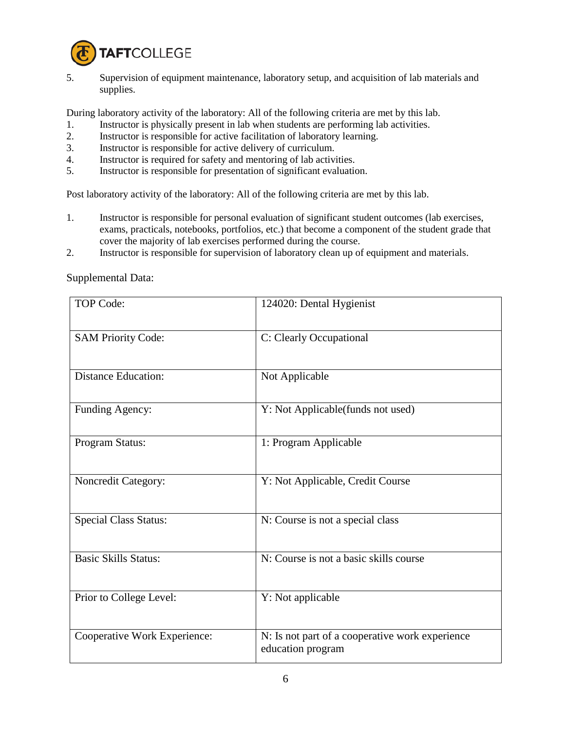

5. Supervision of equipment maintenance, laboratory setup, and acquisition of lab materials and supplies.

During laboratory activity of the laboratory: All of the following criteria are met by this lab.

- 1. Instructor is physically present in lab when students are performing lab activities.
- 2. Instructor is responsible for active facilitation of laboratory learning.
- 3. Instructor is responsible for active delivery of curriculum.
- 4. Instructor is required for safety and mentoring of lab activities.
- 5. Instructor is responsible for presentation of significant evaluation.

Post laboratory activity of the laboratory: All of the following criteria are met by this lab.

- 1. Instructor is responsible for personal evaluation of significant student outcomes (lab exercises, exams, practicals, notebooks, portfolios, etc.) that become a component of the student grade that cover the majority of lab exercises performed during the course.
- 2. Instructor is responsible for supervision of laboratory clean up of equipment and materials.

Supplemental Data:

| <b>TOP Code:</b>             | 124020: Dental Hygienist                                             |
|------------------------------|----------------------------------------------------------------------|
| <b>SAM Priority Code:</b>    | C: Clearly Occupational                                              |
| <b>Distance Education:</b>   | Not Applicable                                                       |
| Funding Agency:              | Y: Not Applicable(funds not used)                                    |
| Program Status:              | 1: Program Applicable                                                |
| Noncredit Category:          | Y: Not Applicable, Credit Course                                     |
| <b>Special Class Status:</b> | N: Course is not a special class                                     |
| <b>Basic Skills Status:</b>  | N: Course is not a basic skills course                               |
| Prior to College Level:      | Y: Not applicable                                                    |
| Cooperative Work Experience: | N: Is not part of a cooperative work experience<br>education program |